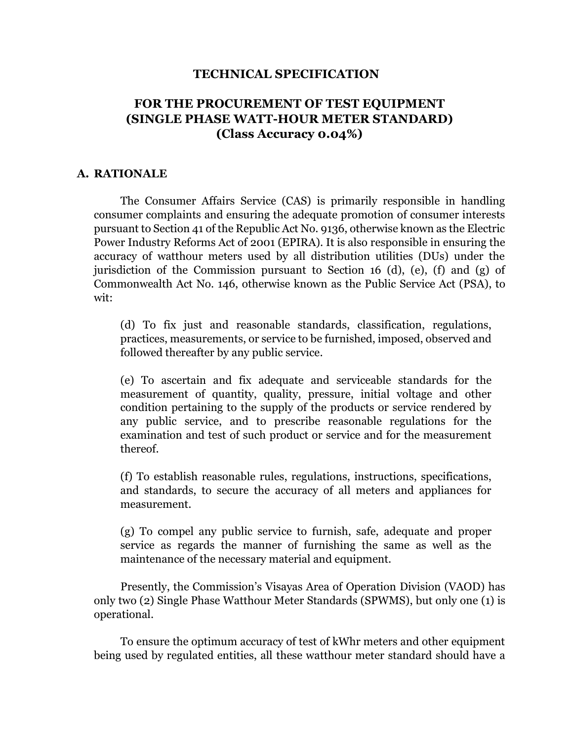### **TECHNICAL SPECIFICATION**

# **FOR THE PROCUREMENT OF TEST EQUIPMENT (SINGLE PHASE WATT-HOUR METER STANDARD) (Class Accuracy 0.04%)**

#### **A. RATIONALE**

The Consumer Affairs Service (CAS) is primarily responsible in handling consumer complaints and ensuring the adequate promotion of consumer interests pursuant to Section 41 of the Republic Act No. 9136, otherwise known as the Electric Power Industry Reforms Act of 2001 (EPIRA). It is also responsible in ensuring the accuracy of watthour meters used by all distribution utilities (DUs) under the jurisdiction of the Commission pursuant to Section 16 (d), (e), (f) and (g) of Commonwealth Act No. 146, otherwise known as the Public Service Act (PSA), to wit:

(d) To fix just and reasonable standards, classification, regulations, practices, measurements, or service to be furnished, imposed, observed and followed thereafter by any public service.

(e) To ascertain and fix adequate and serviceable standards for the measurement of quantity, quality, pressure, initial voltage and other condition pertaining to the supply of the products or service rendered by any public service, and to prescribe reasonable regulations for the examination and test of such product or service and for the measurement thereof.

(f) To establish reasonable rules, regulations, instructions, specifications, and standards, to secure the accuracy of all meters and appliances for measurement.

(g) To compel any public service to furnish, safe, adequate and proper service as regards the manner of furnishing the same as well as the maintenance of the necessary material and equipment.

Presently, the Commission's Visayas Area of Operation Division (VAOD) has only two (2) Single Phase Watthour Meter Standards (SPWMS), but only one (1) is operational.

To ensure the optimum accuracy of test of kWhr meters and other equipment being used by regulated entities, all these watthour meter standard should have a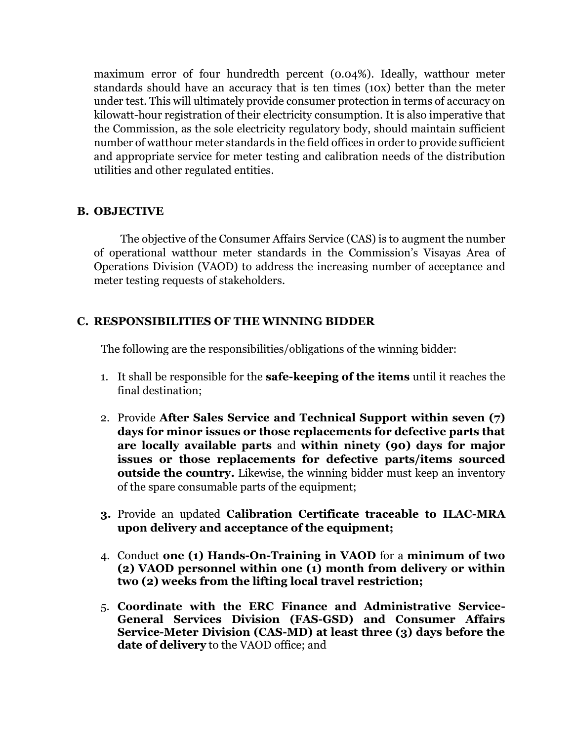maximum error of four hundredth percent (0.04%). Ideally, watthour meter standards should have an accuracy that is ten times (10x) better than the meter under test. This will ultimately provide consumer protection in terms of accuracy on kilowatt-hour registration of their electricity consumption. It is also imperative that the Commission, as the sole electricity regulatory body, should maintain sufficient number of watthour meter standards in the field offices in order to provide sufficient and appropriate service for meter testing and calibration needs of the distribution utilities and other regulated entities.

# **B. OBJECTIVE**

The objective of the Consumer Affairs Service (CAS) is to augment the number of operational watthour meter standards in the Commission's Visayas Area of Operations Division (VAOD) to address the increasing number of acceptance and meter testing requests of stakeholders.

# **C. RESPONSIBILITIES OF THE WINNING BIDDER**

The following are the responsibilities/obligations of the winning bidder:

- 1. It shall be responsible for the **safe-keeping of the items** until it reaches the final destination;
- 2. Provide **After Sales Service and Technical Support within seven (7) days for minor issues or those replacements for defective parts that are locally available parts** and **within ninety (90) days for major issues or those replacements for defective parts/items sourced outside the country.** Likewise, the winning bidder must keep an inventory of the spare consumable parts of the equipment;
- **3.** Provide an updated **Calibration Certificate traceable to ILAC-MRA upon delivery and acceptance of the equipment;**
- 4. Conduct **one (1) Hands-On-Training in VAOD** for a **minimum of two (2) VAOD personnel within one (1) month from delivery or within two (2) weeks from the lifting local travel restriction;**
- 5. **Coordinate with the ERC Finance and Administrative Service-General Services Division (FAS-GSD) and Consumer Affairs Service-Meter Division (CAS-MD) at least three (3) days before the date of delivery** to the VAOD office; and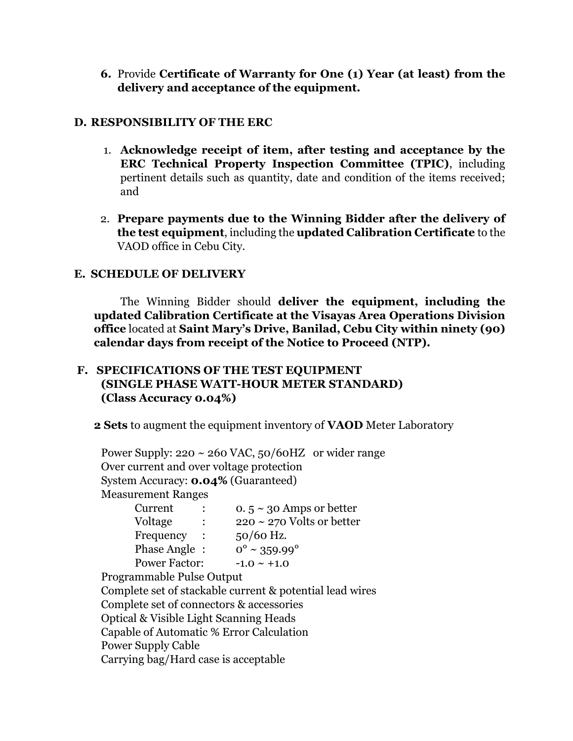**6.** Provide **Certificate of Warranty for One (1) Year (at least) from the delivery and acceptance of the equipment.** 

# **D. RESPONSIBILITY OF THE ERC**

- 1. **Acknowledge receipt of item, after testing and acceptance by the ERC Technical Property Inspection Committee (TPIC)**, including pertinent details such as quantity, date and condition of the items received; and
- 2. **Prepare payments due to the Winning Bidder after the delivery of the test equipment**, including the **updated Calibration Certificate** to the VAOD office in Cebu City.

# **E. SCHEDULE OF DELIVERY**

The Winning Bidder should **deliver the equipment, including the updated Calibration Certificate at the Visayas Area Operations Division office** located at **Saint Mary's Drive, Banilad, Cebu City within ninety (90) calendar days from receipt of the Notice to Proceed (NTP).**

# **F. SPECIFICATIONS OF THE TEST EQUIPMENT (SINGLE PHASE WATT-HOUR METER STANDARD) (Class Accuracy 0.04%)**

**2 Sets** to augment the equipment inventory of **VAOD** Meter Laboratory

Power Supply:  $220 \sim 260$  VAC,  $50/60$ HZ or wider range Over current and over voltage protection System Accuracy: **0.04%** (Guaranteed) Measurement Ranges Current :  $0.5 \sim 30$  Amps or better Voltage :  $220 \sim 270$  Volts or better Frequency : 50/60 Hz. Phase Angle :  $0^{\circ} \sim 359.99^{\circ}$ Power Factor:  $-1.0 \sim +1.0$ Programmable Pulse Output Complete set of stackable current & potential lead wires Complete set of connectors & accessories Optical & Visible Light Scanning Heads Capable of Automatic % Error Calculation Power Supply Cable Carrying bag/Hard case is acceptable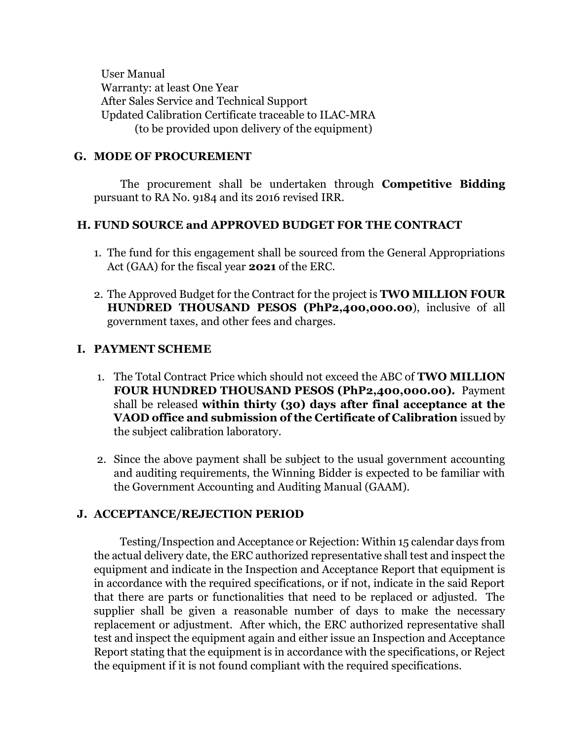User Manual Warranty: at least One Year After Sales Service and Technical Support Updated Calibration Certificate traceable to ILAC-MRA (to be provided upon delivery of the equipment)

### **G. MODE OF PROCUREMENT**

The procurement shall be undertaken through **Competitive Bidding** pursuant to RA No. 9184 and its 2016 revised IRR.

### **H. FUND SOURCE and APPROVED BUDGET FOR THE CONTRACT**

- 1. The fund for this engagement shall be sourced from the General Appropriations Act (GAA) for the fiscal year **2021** of the ERC.
- 2. The Approved Budget for the Contract for the project is **TWO MILLION FOUR HUNDRED THOUSAND PESOS (PhP2,400,000.00**), inclusive of all government taxes, and other fees and charges.

### **I. PAYMENT SCHEME**

- 1. The Total Contract Price which should not exceed the ABC of **TWO MILLION FOUR HUNDRED THOUSAND PESOS (PhP2,400,000.00).** Payment shall be released **within thirty (30) days after final acceptance at the VAOD office and submission of the Certificate of Calibration** issued by the subject calibration laboratory.
- 2. Since the above payment shall be subject to the usual government accounting and auditing requirements, the Winning Bidder is expected to be familiar with the Government Accounting and Auditing Manual (GAAM).

### **J. ACCEPTANCE/REJECTION PERIOD**

Testing/Inspection and Acceptance or Rejection: Within 15 calendar days from the actual delivery date, the ERC authorized representative shall test and inspect the equipment and indicate in the Inspection and Acceptance Report that equipment is in accordance with the required specifications, or if not, indicate in the said Report that there are parts or functionalities that need to be replaced or adjusted. The supplier shall be given a reasonable number of days to make the necessary replacement or adjustment. After which, the ERC authorized representative shall test and inspect the equipment again and either issue an Inspection and Acceptance Report stating that the equipment is in accordance with the specifications, or Reject the equipment if it is not found compliant with the required specifications.